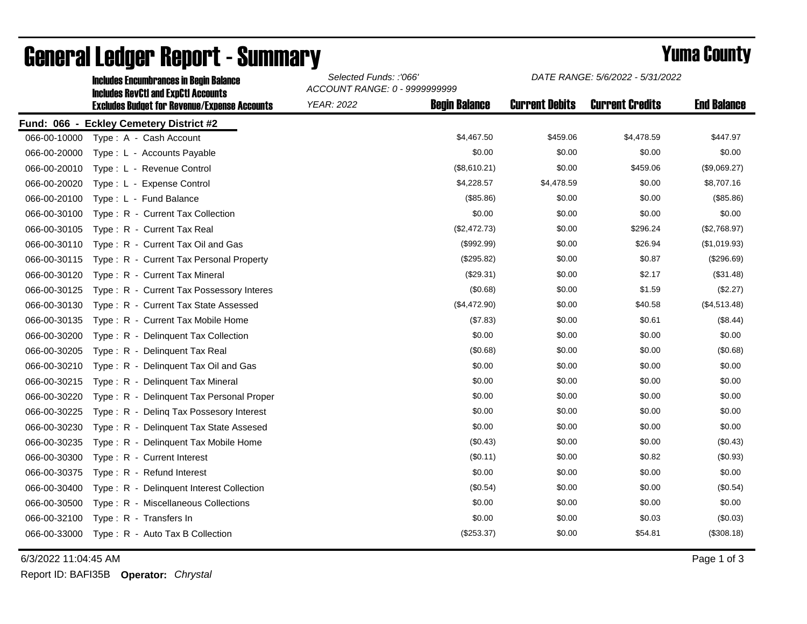|              | <b>Includes Encumbrances in Begin Balance</b><br><b>Includes RevCtI and ExpCtI Accounts</b><br><b>Excludes Budget for Revenue/Expense Accounts</b> | Selected Funds: :'066'<br>ACCOUNT RANGE: 0 - 9999999999 |                      | DATE RANGE: 5/6/2022 - 5/31/2022 |                        |                    |
|--------------|----------------------------------------------------------------------------------------------------------------------------------------------------|---------------------------------------------------------|----------------------|----------------------------------|------------------------|--------------------|
|              |                                                                                                                                                    | <b>YEAR: 2022</b>                                       | <b>Begin Balance</b> | <b>Current Debits</b>            | <b>Current Credits</b> | <b>End Balance</b> |
|              | Fund: 066 - Eckley Cemetery District #2                                                                                                            |                                                         |                      |                                  |                        |                    |
| 066-00-10000 | Type: A - Cash Account                                                                                                                             |                                                         | \$4,467.50           | \$459.06                         | \$4,478.59             | \$447.97           |
| 066-00-20000 | Type: L - Accounts Payable                                                                                                                         |                                                         | \$0.00               | \$0.00                           | \$0.00                 | \$0.00             |
| 066-00-20010 | Type: L - Revenue Control                                                                                                                          |                                                         | (\$8,610.21)         | \$0.00                           | \$459.06               | (\$9,069.27)       |
| 066-00-20020 | Type: L - Expense Control                                                                                                                          |                                                         | \$4,228.57           | \$4,478.59                       | \$0.00                 | \$8,707.16         |
| 066-00-20100 | Type: L - Fund Balance                                                                                                                             |                                                         | (\$85.86)            | \$0.00                           | \$0.00                 | (\$85.86)          |
| 066-00-30100 | Type: R - Current Tax Collection                                                                                                                   |                                                         | \$0.00               | \$0.00                           | \$0.00                 | \$0.00             |
| 066-00-30105 | Type: R - Current Tax Real                                                                                                                         |                                                         | (\$2,472.73)         | \$0.00                           | \$296.24               | (\$2,768.97)       |
| 066-00-30110 | Type: R - Current Tax Oil and Gas                                                                                                                  |                                                         | (\$992.99)           | \$0.00                           | \$26.94                | (\$1,019.93)       |
| 066-00-30115 | Type: R - Current Tax Personal Property                                                                                                            |                                                         | (\$295.82)           | \$0.00                           | \$0.87                 | (\$296.69)         |
| 066-00-30120 | Type: R - Current Tax Mineral                                                                                                                      |                                                         | $(\$29.31)$          | \$0.00                           | \$2.17                 | (\$31.48)          |
| 066-00-30125 | Type: R - Current Tax Possessory Interes                                                                                                           |                                                         | (\$0.68)             | \$0.00                           | \$1.59                 | (\$2.27)           |
| 066-00-30130 | Type: R - Current Tax State Assessed                                                                                                               |                                                         | (\$4,472.90)         | \$0.00                           | \$40.58                | (\$4,513.48)       |
| 066-00-30135 | Type: R - Current Tax Mobile Home                                                                                                                  |                                                         | (\$7.83)             | \$0.00                           | \$0.61                 | (\$8.44)           |
| 066-00-30200 | Type: R - Delinquent Tax Collection                                                                                                                |                                                         | \$0.00               | \$0.00                           | \$0.00                 | \$0.00             |
| 066-00-30205 | Type: R - Delinquent Tax Real                                                                                                                      |                                                         | (\$0.68)             | \$0.00                           | \$0.00                 | (\$0.68)           |
| 066-00-30210 | Type: R - Delinquent Tax Oil and Gas                                                                                                               |                                                         | \$0.00               | \$0.00                           | \$0.00                 | \$0.00             |
| 066-00-30215 | Type: R - Delinquent Tax Mineral                                                                                                                   |                                                         | \$0.00               | \$0.00                           | \$0.00                 | \$0.00             |
| 066-00-30220 | Type: R - Delinquent Tax Personal Proper                                                                                                           |                                                         | \$0.00               | \$0.00                           | \$0.00                 | \$0.00             |
| 066-00-30225 | Type: R - Deling Tax Possesory Interest                                                                                                            |                                                         | \$0.00               | \$0.00                           | \$0.00                 | \$0.00             |
| 066-00-30230 | Type: R - Delinquent Tax State Assesed                                                                                                             |                                                         | \$0.00               | \$0.00                           | \$0.00                 | \$0.00             |
| 066-00-30235 | Type: R - Delinquent Tax Mobile Home                                                                                                               |                                                         | (\$0.43)             | \$0.00                           | \$0.00                 | (\$0.43)           |
| 066-00-30300 | Type: R - Current Interest                                                                                                                         |                                                         | (\$0.11)             | \$0.00                           | \$0.82                 | (\$0.93)           |
| 066-00-30375 | Type: R - Refund Interest                                                                                                                          |                                                         | \$0.00               | \$0.00                           | \$0.00                 | \$0.00             |
| 066-00-30400 | Type: R - Delinquent Interest Collection                                                                                                           |                                                         | (\$0.54)             | \$0.00                           | \$0.00                 | (\$0.54)           |
| 066-00-30500 | Type: R - Miscellaneous Collections                                                                                                                |                                                         | \$0.00               | \$0.00                           | \$0.00                 | \$0.00             |
| 066-00-32100 | Type: R - Transfers In                                                                                                                             |                                                         | \$0.00               | \$0.00                           | \$0.03                 | (\$0.03)           |
| 066-00-33000 | Type: R - Auto Tax B Collection                                                                                                                    |                                                         | (\$253.37)           | \$0.00                           | \$54.81                | (\$308.18)         |

## General Ledger Report - Summary **Example 2018** Yuma County

6/3/2022 11:04:45 AM Page 1 of 3

Report ID: BAFI35B **Operator:** *Chrystal*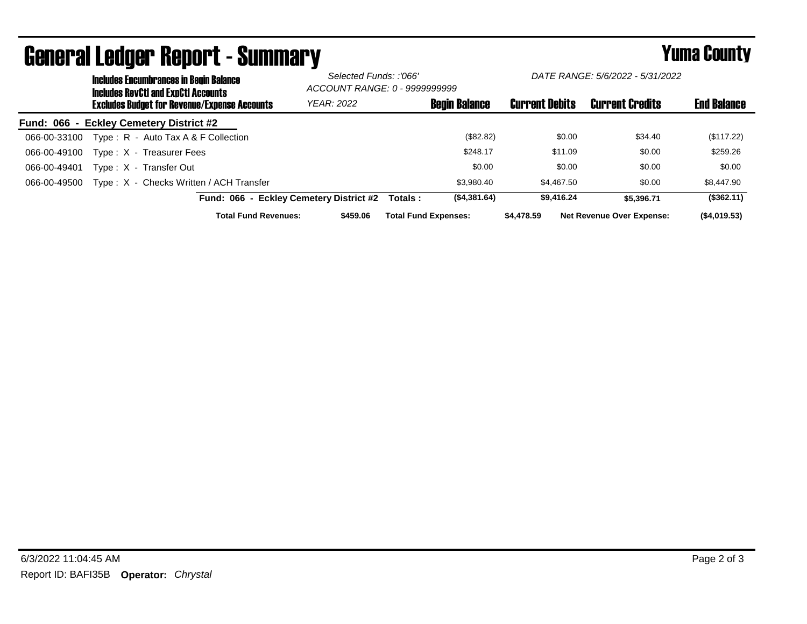| <b>Includes Encumbrances in Begin Balance</b><br>Includes RevCtI and ExpCtI Accounts |                                         | Selected Funds: :'066'<br>ACCOUNT RANGE: 0 - 9999999999 |                       | DATE RANGE: 5/6/2022 - 5/31/2022 |                    |
|--------------------------------------------------------------------------------------|-----------------------------------------|---------------------------------------------------------|-----------------------|----------------------------------|--------------------|
| <b>Excludes Budget for Revenue/Expense Accounts</b>                                  | <b>YEAR: 2022</b>                       | <b>Begin Balance</b>                                    | <b>Current Debits</b> | <b>Current Credits</b>           | <b>End Balance</b> |
| Fund: 066 - Eckley Cemetery District #2                                              |                                         |                                                         |                       |                                  |                    |
| Type: $R -$ Auto Tax A & F Collection<br>066-00-33100                                |                                         | (\$82.82)                                               | \$0.00                | \$34.40                          | (\$117.22)         |
| Type: X - Treasurer Fees<br>066-00-49100                                             |                                         | \$248.17                                                | \$11.09               | \$0.00                           | \$259.26           |
| Type: X - Transfer Out<br>066-00-49401                                               |                                         | \$0.00                                                  | \$0.00                | \$0.00                           | \$0.00             |
| Type: X - Checks Written / ACH Transfer<br>066-00-49500                              |                                         | \$3.980.40                                              | \$4,467.50            | \$0.00                           | \$8,447.90         |
|                                                                                      | Fund: 066 - Eckley Cemetery District #2 | (\$4,381.64)<br>Totals :                                | \$9,416,24            | \$5.396.71                       | (\$362.11)         |
| <b>Total Fund Revenues:</b>                                                          | \$459.06                                | <b>Total Fund Expenses:</b>                             | \$4,478.59            | <b>Net Revenue Over Expense:</b> | (\$4,019.53)       |

## General Ledger Report - Summary **Example 2018** Yuma County